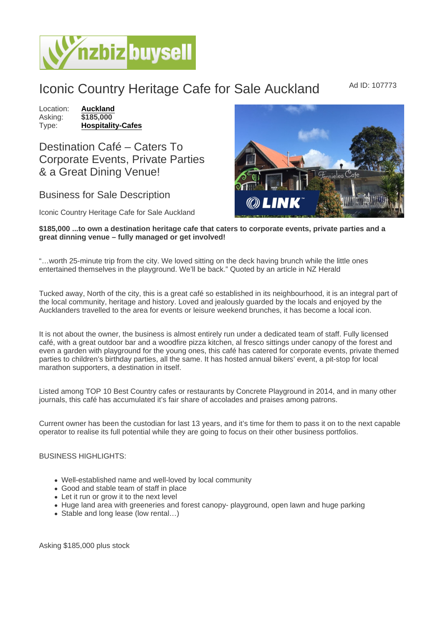## Iconic Country Heritage Cafe for Sale Auckland Mad ID: 107773

Location: [Auckland](https://www.nzbizbuysell.co.nz/businesses-for-sale/location/Auckland) Asking: \$185,000<br>Type: Hospitality [Hospitality-Cafes](https://www.nzbizbuysell.co.nz/businesses-for-sale/Cafes/New-Zealand)

Destination Café – Caters To Corporate Events, Private Parties & a Great Dining Venue!

## Business for Sale Description

Iconic Country Heritage Cafe for Sale Auckland

\$185,000 ...to own a destination heritage cafe that caters to corporate events, private parties and a great dinning venue – fully managed or get involved!

"…worth 25-minute trip from the city. We loved sitting on the deck having brunch while the little ones entertained themselves in the playground. We'll be back." Quoted by an article in NZ Herald

Tucked away, North of the city, this is a great café so established in its neighbourhood, it is an integral part of the local community, heritage and history. Loved and jealously guarded by the locals and enjoyed by the Aucklanders travelled to the area for events or leisure weekend brunches, it has become a local icon.

It is not about the owner, the business is almost entirely run under a dedicated team of staff. Fully licensed café, with a great outdoor bar and a woodfire pizza kitchen, al fresco sittings under canopy of the forest and even a garden with playground for the young ones, this café has catered for corporate events, private themed parties to children's birthday parties, all the same. It has hosted annual bikers' event, a pit-stop for local marathon supporters, a destination in itself.

Listed among TOP 10 Best Country cafes or restaurants by Concrete Playground in 2014, and in many other journals, this café has accumulated it's fair share of accolades and praises among patrons.

Current owner has been the custodian for last 13 years, and it's time for them to pass it on to the next capable operator to realise its full potential while they are going to focus on their other business portfolios.

BUSINESS HIGHLIGHTS:

- Well-established name and well-loved by local community
- Good and stable team of staff in place
- Let it run or grow it to the next level
- Huge land area with greeneries and forest canopy- playground, open lawn and huge parking
- Stable and long lease (low rental…)

Asking \$185,000 plus stock